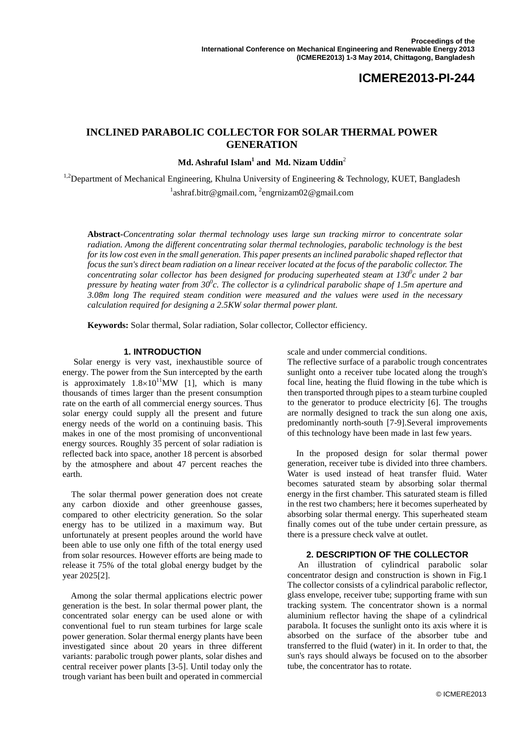# **ICMERE2013-PI-244**

# **INCLINED PARABOLIC COLLECTOR FOR SOLAR THERMAL POWER GENERATION**

**Md. Ashraful Islam <sup>1</sup> and Md. Nizam Uddin**<sup>2</sup>

<sup>1,2</sup>Department of Mechanical Engineering, Khulna University of Engineering & Technology, KUET, Bangladesh <sup>1</sup>ashraf.bitr@gmail.com, <sup>2</sup>engrnizam02@gmail.com

**Abstract-***Concentrating solar thermal technology uses large sun tracking mirror to concentrate solar radiation. Among the different concentrating solar thermal technologies, parabolic technology is the best for its low cost even in the small generation. This paper presents an inclined parabolic shaped reflector that focus the sun's direct beam radiation on a linear receiver located at the focus of the parabolic collector. The concentrating solar collector has been designed for producing superheated steam at 130<sup>0</sup>c under 2 bar pressure by heating water from 30<sup>0</sup> c. The collector is a cylindrical parabolic shape of 1.5m aperture and 3.08m long The required steam condition were measured and the values were used in the necessary calculation required for designing a 2.5KW solar thermal power plant.*

**Keywords:** Solar thermal, Solar radiation, Solar collector, Collector efficiency*.*

#### **1. INTRODUCTION**

Solar energy is very vast, inexhaustible source of energy. The power from the Sun intercepted by the earth is approximately  $1.8 \times 10^{11}$  MW [1], which is many thousands of times larger than the present consumption rate on the earth of all commercial energy sources. Thus solar energy could supply all the present and future energy needs of the world on a continuing basis. This makes in one of the most promising of unconventional energy sources. Roughly 35 percent of solar radiation is reflected back into space, another 18 percent is absorbed by the atmosphere and about 47 percent reaches the earth.

 The solar thermal power generation does not create any carbon dioxide and other greenhouse gasses, compared to other electricity generation. So the solar energy has to be utilized in a maximum way. But unfortunately at present peoples around the world have been able to use only one fifth of the total energy used from solar resources. However efforts are being made to release it 75% of the total global energy budget by the year 2025[2].

 Among the solar thermal applications electric power generation is the best. In solar thermal power plant, the concentrated solar energy can be used alone or with conventional fuel to run steam turbines for large scale power generation. Solar thermal energy plants have been investigated since about 20 years in three different variants: parabolic trough power plants, solar dishes and central receiver power plants [3-5]. Until today only the trough variant has been built and operated in commercial

scale and under commercial conditions.

The reflective surface of a parabolic trough concentrates sunlight onto a receiver tube located along the trough's focal line, heating the fluid flowing in the tube which is then transported through pipes to a steam turbine coupled to the generator to produce electricity [6]. The troughs are normally designed to track the sun along one axis, predominantly north-south [7-9].Several improvements of this technology have been made in last few years.

 In the proposed design for solar thermal power generation, receiver tube is divided into three chambers. Water is used instead of heat transfer fluid. Water becomes saturated steam by absorbing solar thermal energy in the first chamber. This saturated steam is filled in the rest two chambers; here it becomes superheated by absorbing solar thermal energy. This superheated steam finally comes out of the tube under certain pressure, as there is a pressure check valve at outlet.

#### **2. DESCRIPTION OF THE COLLECTOR**

 An illustration of cylindrical parabolic solar concentrator design and construction is shown in Fig.1 The collector consists of a cylindrical parabolic reflector, glass envelope, receiver tube; supporting frame with sun tracking system. The concentrator shown is a normal aluminium reflector having the shape of a cylindrical parabola. It focuses the sunlight onto its axis where it is absorbed on the surface of the absorber tube and transferred to the fluid (water) in it. In order to that, the sun's rays should always be focused on to the absorber tube, the concentrator has to rotate.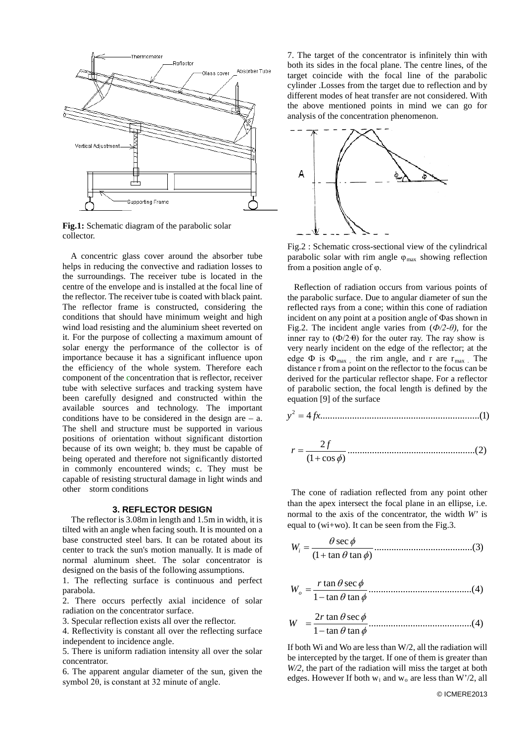

**Fig.1:** Schematic diagram of the parabolic solar collector.

 A concentric glass cover around the absorber tube helps in reducing the convective and radiation losses to the surroundings. The receiver tube is located in the centre of the envelope and is installed at the focal line of the reflector. The receiver tube is coated with black paint. The reflector frame is constructed, considering the conditions that should have minimum weight and high wind load resisting and the aluminium sheet reverted on it. For the purpose of collecting a maximum amount of solar energy the performance of the collector is of importance because it has a significant influence upon the efficiency of the whole system. Therefore each component of the concentration that is reflector, receiver tube with selective surfaces and tracking system have been carefully designed and constructed within the available sources and technology. The important conditions have to be considered in the design are  $-$  a. The shell and structure must be supported in various positions of orientation without significant distortion because of its own weight; b. they must be capable of being operated and therefore not significantly distorted in commonly encountered winds; c. They must be capable of resisting structural damage in light winds and other storm conditions

#### **3. REFLECTOR DESIGN**

 The reflector is 3.08m in length and 1.5m in width, it is tilted with an angle when facing south. It is mounted on a base constructed steel bars. It can be rotated about its center to track the sun's motion manually. It is made of normal aluminum sheet. The solar concentrator is designed on the basis of the following assumptions.

1. The reflecting surface is continuous and perfect parabola.

2. There occurs perfectly axial incidence of solar radiation on the concentrator surface.

3. Specular reflection exists all over the reflector.

4. Reflectivity is constant all over the reflecting surface independent to incidence angle.

5. There is uniform radiation intensity all over the solar concentrator.

6. The apparent angular diameter of the sun, given the symbol 2θ, is constant at 32 minute of angle.

7. The target of the concentrator is infinitely thin with both its sides in the focal plane. The centre lines, of the target coincide with the focal line of the parabolic cylinder .Losses from the target due to reflection and by different modes of heat transfer are not considered. With the above mentioned points in mind we can go for analysis of the concentration phenomenon.



Fig.2 : Schematic cross-sectional view of the cylindrical parabolic solar with rim angle  $\varphi_{\text{max}}$  showing reflection from a position angle of φ.

 Reflection of radiation occurs from various points of the parabolic surface. Due to angular diameter of sun the reflected rays from a cone; within this cone of radiation incident on any point at a position angle of Фas shown in Fig.2. The incident angle varies from  $(\Phi/2-\theta)$ , for the inner ray to  $(\Phi/2+\theta)$  for the outer ray. The ray show is very nearly incident on the edge of the reflector; at the edge  $\Phi$  is  $\Phi_{\text{max}}$ , the rim angle, and r are r<sub>max</sub>. The distance r from a point on the reflector to the focus can be derived for the particular reflector shape. For a reflector of parabolic section, the focal length is defined by the equation [9] of the surface

$$
y^2 = 4fx
$$
 (1)

....................................................(2) (1 cos ) 2 <sup>+</sup> <sup>φ</sup> <sup>=</sup> *<sup>f</sup> <sup>r</sup>*

 The cone of radiation reflected from any point other than the apex intersect the focal plane in an ellipse, i.e. normal to the axis of the concentrator, the width *W'* is equal to (wi+wo). It can be seen from the Fig.3.

........................................(3) (1 tan tan ) sec θ φ θ φ + *Wi* =

..........................................(4) <sup>1</sup> tan tan tan sec θ φ θ φ <sup>−</sup> <sup>=</sup> *<sup>r</sup> Wo*

$$
W = \frac{2r \tan \theta \sec \phi}{1 - \tan \theta \tan \phi}
$$
.................(4)

If both Wi and Wo are less than W/2, all the radiation will be intercepted by the target. If one of them is greater than *W/2,* the part of the radiation will miss the target at both edges. However If both  $w_i$  and  $w_o$  are less than  $W'/2$ , all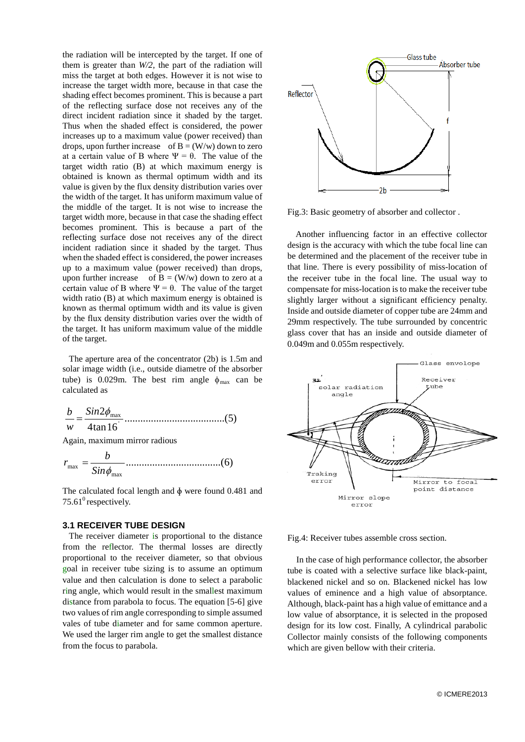the radiation will be intercepted by the target. If one of them is greater than *W/2,* the part of the radiation will miss the target at both edges. However it is not wise to increase the target width more, because in that case the shading effect becomes prominent. This is because a part of the reflecting surface dose not receives any of the direct incident radiation since it shaded by the target. Thus when the shaded effect is considered, the power increases up to a maximum value (power received) than drops, upon further increase of  $B = (W/w)$  down to zero at a certain value of B where  $\Psi = \theta$ . The value of the target width ratio (B) at which maximum energy is obtained is known as thermal optimum width and its value is given by the flux density distribution varies over the width of the target. It has uniform maximum value of the middle of the target. It is not wise to increase the target width more, because in that case the shading effect becomes prominent. This is because a part of the reflecting surface dose not receives any of the direct incident radiation since it shaded by the target. Thus when the shaded effect is considered, the power increases up to a maximum value (power received) than drops, upon further increase of  $B = (W/w)$  down to zero at a certain value of B where  $\Psi = \theta$ . The value of the target width ratio (B) at which maximum energy is obtained is known as thermal optimum width and its value is given by the flux density distribution varies over the width of the target. It has uniform maximum value of the middle of the target.

 The aperture area of the concentrator (2b) is 1.5m and solar image width (i.e., outside diametre of the absorber tube) is 0.029m. The best rim angle  $\phi_{\text{max}}$  can be calculated as

......................................(5) 4tan16 2 φ max *Sin w b* =

Again, maximum mirror radious

....................................(6) max max *Sin*φ *b r* =

The calculated focal length and  $\phi$  were found 0.481 and 75.61 $^0$  respectively.

## **3.1 RECEIVER TUBE DESIGN**

 The receiver diameter is proportional to the distance from the reflector. The thermal losses are directly proportional to the receiver diameter, so that obvious goal in receiver tube sizing is to assume an optimum value and then calculation is done to select a parabolic ring angle, which would result in the smallest maximum distance from parabola to focus. The equation [5-6] give two values of rim angle corresponding to simple assumed vales of tube diameter and for same common aperture. We used the larger rim angle to get the smallest distance from the focus to parabola.



Fig.3: Basic geometry of absorber and collector .

 Another influencing factor in an effective collector design is the accuracy with which the tube focal line can be determined and the placement of the receiver tube in that line. There is every possibility of miss-location of the receiver tube in the focal line. The usual way to compensate for miss-location is to make the receiver tube slightly larger without a significant efficiency penalty. Inside and outside diameter of copper tube are 24mm and 29mm respectively. The tube surrounded by concentric glass cover that has an inside and outside diameter of 0.049m and 0.055m respectively.



Fig.4: Receiver tubes assemble cross section.

 In the case of high performance collector, the absorber tube is coated with a selective surface like black-paint, blackened nickel and so on. Blackened nickel has low values of eminence and a high value of absorptance. Although, black-paint has a high value of emittance and a low value of absorptance, it is selected in the proposed design for its low cost. Finally, A cylindrical parabolic Collector mainly consists of the following components which are given bellow with their criteria.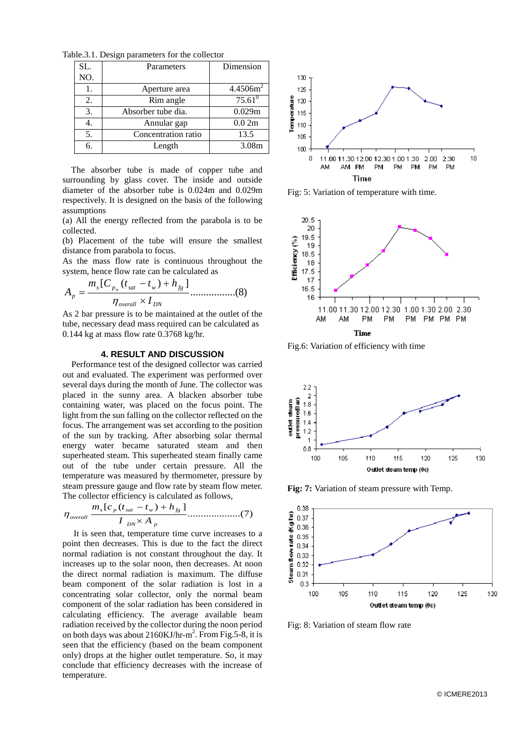Table.3.1. Design parameters for the collector

| SL. | Parameters          | Dimension            |
|-----|---------------------|----------------------|
| NO. |                     |                      |
| 1.  | Aperture area       | 4.4506m <sup>2</sup> |
| 2.  | Rim angle           | $75.61^0$            |
| 3.  | Absorber tube dia.  | 0.029m               |
| 4.  | Annular gap         | 0.02m                |
| 5.  | Concentration ratio | 13.5                 |
| 6.  | Length              | 3.08m                |

The absorber tube is made of copper tube and surrounding by glass cover. The inside and outside diameter of the absorber tube is 0.024m and 0.029m respectively. It is designed on the basis of the following assumptions

(a) All the energy reflected from the parabola is to be collected.

(b) Placement of the tube will ensure the smallest distance from parabola to focus.

As the mass flow rate is continuous throughout the system, hence flow rate can be calculated as

$$
A_{p} = \frac{m_{s}[C_{p_{w}}(t_{sat} - t_{w}) + h_{fg}]}{\eta_{overall} \times I_{DN}}
$$
............(8)

As 2 bar pressure is to be maintained at the outlet of the tube, necessary dead mass required can be calculated as 0.144 kg at mass flow rate 0.3768 kg/hr.

#### **4. RESULT AND DISCUSSION**

 Performance test of the designed collector was carried out and evaluated. The experiment was performed over several days during the month of June. The collector was placed in the sunny area. A blacken absorber tube containing water, was placed on the focus point. The light from the sun falling on the collector reflected on the focus. The arrangement was set according to the position of the sun by tracking. After absorbing solar thermal energy water became saturated steam and then superheated steam. This superheated steam finally came out of the tube under certain pressure. All the temperature was measured by thermometer, pressure by steam pressure gauge and flow rate by steam flow meter. The collector efficiency is calculated as follows,

$$
\eta_{\text{overall}} \frac{m_s [c_p (t_{\text{sat}} - t_w) + h_{\text{fg}}]}{I_{\text{DN}} \times A_p} \dots \dots \dots \dots \dots \dots \dots \dots \dots \dots \tag{7}
$$

 It is seen that, temperature time curve increases to a point then decreases. This is due to the fact the direct normal radiation is not constant throughout the day. It increases up to the solar noon, then decreases. At noon the direct normal radiation is maximum. The diffuse beam component of the solar radiation is lost in a concentrating solar collector, only the normal beam component of the solar radiation has been considered in calculating efficiency. The average available beam radiation received by the collector during the noon period on both days was about  $2160 \text{KJ/hr-m}^2$ . From Fig. 5-8, it is seen that the efficiency (based on the beam component only) drops at the higher outlet temperature. So, it may conclude that efficiency decreases with the increase of temperature.



Fig: 5: Variation of temperature with time.



Fig.6: Variation of efficiency with time



**Fig: 7:** Variation of steam pressure with Temp.



Fig: 8: Variation of steam flow rate